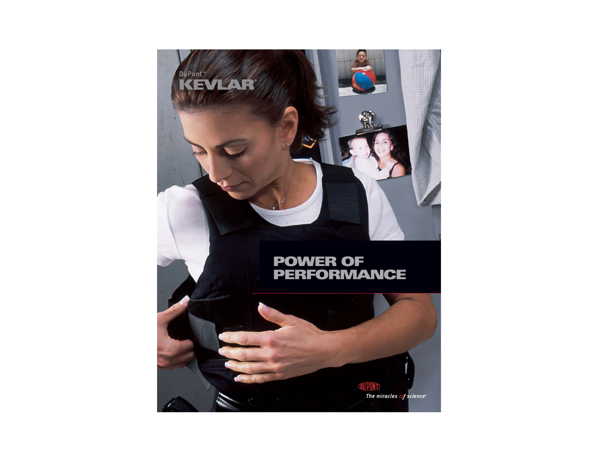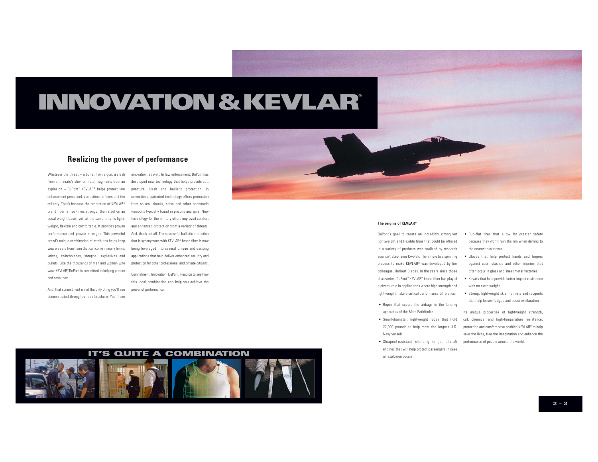# **INNOVATION&KEVLAR**®

#### **Realizing the power of performance**

Whatever the threat — a bullet from a gun, a slash innovation, as well. In law enforcement, DuPont has from an inmate's shiv, or metal fragments from an explosion – DuPont™ KEVLAR® helps protect law enforcement personnel, corrections officers and the corrections, patented technology offers protection military. That's because the protection of KEVLAR® brand fiber is five times stronger than steel on an equal weight basis, yet, at the same time, is lightweight, flexible and comfortable. It provides proven performance and proven strength. This powerful brand's unique combination of attributes helps keep wearers safe from harm that can come in many forms: being leveraged into several unique and exciting knives, switchblades, shrapnel, explosives and bullets. Like the thousands of men and women who wear KEVLAR®, DuPont is committed to helping protect and save lives.

And, that commitment is not the only thing you'll see demonstrated throughout this brochure. You'll see

developed new technology that helps provide cut, puncture, slash and ballistic protection. In from spikes, shanks, shivs and other handmade weapons typically found in prisons and jails. New technology for the military offers improved comfort and enhanced protection from a variety of threats. And, that's not all. The successful ballistic protection that is synonymous with KEVLAR® brand fiber is now applications that help deliver enhanced security and protection for other professional and private citizens.

Commitment. Innovation. DuPont. Read on to see howthis ideal combination can help you achieve the power of performance.



#### **The origins of KEVLAR®**

DuPont's goal to create an incredibly strong yet lightweight and flexible fiber that could be offered in a variety of products was realized by research scientist Stephanie Kwolek. The innovative spinning process to make KEVLAR® was developed by her colleague, Herbert Blades. In the years since those discoveries, DuPont™ KEVLAR® brand fiber has played a pivotal role in applications where high strength and light weight make a critical performance difference:

- Ropes that secure the airbags in the landing apparatus of the Mars Pathfinder.
- Small-diameter, lightweight ropes that hold 22,000 pounds to help moor the largest U.S. Navy vessels.
- Shrapnel-resistant shielding in jet aircraft performance of people around the world. engines that will help protect passengers in case an explosion occurs.
- Run-flat tires that allow for greater safety because they won't ruin the rim when driving to the nearest assistance.
- Gloves that help protect hands and fingers against cuts, slashes and other injuries that often occur in glass and sheet metal factories.
- Kayaks that help provide better impact resistance with no extra weight.
- Strong, lightweight skis, helmets and racquets that help lessen fatigue and boost exhilaration.

Its unique properties of lightweight strength, cut, chemical and high-temperature resistance protection and comfort have enabled KEVLAR® to help save the lives, free the imagination and enhance the

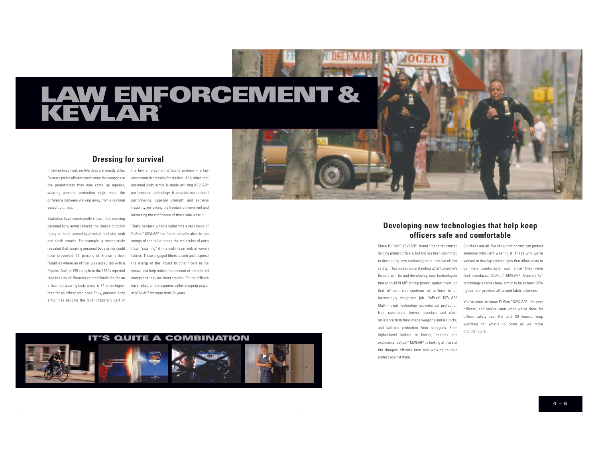# **LAW ENFORCEMENT& KEVLAR**®

#### **Dressing for survival**

In law enforcement, no two days are exactly alike. the law enforcement officer's uniform – a key Because police officers never know the weapons or the perpetrators they may come up against, wearing personal protection might mean the difference between walking away from a criminal assault or…not.

Statistics have consistently shown that wearing personal body armor reduces the chance of bodily injury or death caused by physical, ballistic, stab and slash attacks. For example, a recent study revealed that wearing personal body armor could fiber, "catching" it in a multi-layer web of woven have prevented 42 percent of known officer fabrics. These engaged fibers absorb and disperse fatalities where an officer was assaulted with a the energy of the impact to other fibers in the firearm. And, an FBI study from the 1990s reported that the risk of firearms-related fatalities for an officer not wearing body armor is 14 times higher have relied on the superior bullet-stopping power than for an officer who does. Truly, personal body armor has become the most important part of

component in dressing for survival. And, when that personal body armor is made utilizing KEVLAR® performance technology, it provides exceptional performance, superior strength and extreme flexibility, enhancing the freedom of movement and increasing the confidence of those who wear it.

That's because when a bullet hits a vest made ofDuPont™ KEVLAR®, the fabric actually absorbs the energy of the bullet along the molecules of each weave and help reduce the amount of transferred energy that causes blunt trauma. Police officers of KEVLAR® for more than 30 years.





### **Developing new technologies that help keep officers safe and comfortable**

to developing new technologies to improve officer threats will be and developing new technologies that allow KEVLAR® to help protect against them...so that officers can continue to perform in an lighter than previous all-aramid fabric solutions. increasingly dangerous job. DuPont™ KEVLAR® Multi-Threat Technology provides cut protection from commercial knives; puncture and slash resistance from hand-made weapons and ice picks; and ballistic protection from handguns. From higher-level bullets to knives, needles and explosions, DuPont™ KEVLAR® is looking at more of the dangers officers face and working to help protect against them.

#### Since DuPont™ KEVLAR® brand fiber first started But that's not all. We know that no vest can protect helping protect officers, DuPont has been committed someone who isn't wearing it. That's why we've safety. That means understanding what tomorrow's be more comfortable ever since they were worked to develop technologies that allow vests to first introduced. DuPont™ KEVLAR® Comfort XLT technology enables body armor to be at least 25%

You've come to know DuPont™ KEVLAR® for your officers, and you've seen what we've done for officer safety over the past 30 years... keep watching for what's to come as we move into the future.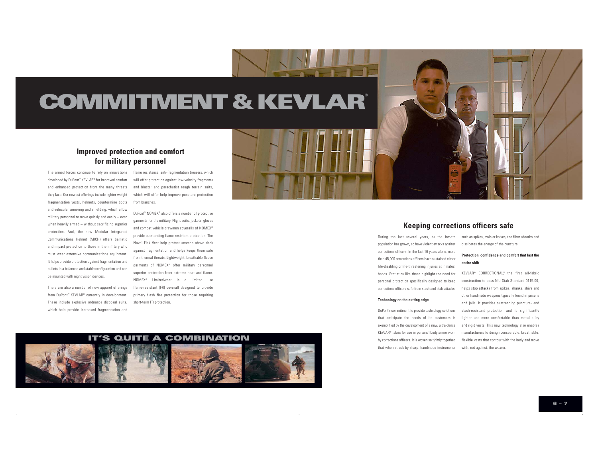# **COMMITMENT & KEVLAR®**

## **Improved protection and comfort for military personnel**

developed by DuPont™ KEVLAR® for improved comfort and enhanced protection from the many threats they face. Our newest offerings include lighter-weight fragmentation vests, helmets, countermine boots and vehicular armoring and shielding, which allow military personnel to move quickly and easily – even when heavily armed – without sacrificing superior protection. And, the new Modular Integrated Communications Helmet (MICH) offers ballistic and impact protection to those in the military who must wear extensive communications equipment. It helps provide protection against fragmentation and bullets in a balanced and stable configuration and can be mounted with night vision devices.

There are also a number of new apparel offerings from DuPont™ KEVLAR® currently in development. These include explosive ordnance disposal suits, which help provide increased fragmentation and

The armed forces continue to rely on innovations flame resistance; anti-fragmentation trousers, which will offer protection against low-velocity fragments and blasts; and parachutist rough terrain suits, which will offer help improve puncture protection from branches.

> DuPont™ NOMEX® also offers a number of protective garments for the military. Flight suits, jackets, gloves and combat vehicle crewmen coveralls of NOMEX® provide outstanding flame-resistant protection. The Naval Flak Vest help protect seamen above deck against fragmentation and helps keeps them safe from thermal threats. Lightweight, breathable fleece garments of NOMEX® offer military personnel superior protection from extreme heat and flame. NOMEX® Limitedwear is a limited use flame-resistant (FR) coverall designed to provide primary flash fire protection for those requiring short-term FR protection.





#### **Keeping corrections officers safe**

population has grown, so have violent attacks against corrections officers. In the last 10 years alone, more than 45,000 corrections officers have sustained either life-disabling or life-threatening injuries at inmates' hands. Statistics like these highlight the need for personal protection specifically designed to keep corrections officers safe from slash and stab attacks.

#### **Technology on the cutting edge**

DuPont's commitment to provide technology solutions that anticipate the needs of its customers is exemplified by the development of a new, ultra-dense KEVLAR® fabric for use in personal body armor worn by corrections officers. It is woven so tightly together, that when struck by sharp, handmade instruments with, not against, the wearer.

During the last several years, as the inmate such as spikes, awls or knives, the fiber absorbs and dissipates the energy of the puncture.

#### **Protection, confidence and comfort that last theentire shift**

KEVLAR® CORRECTIONAL™, the first all-fabric construction to pass NIJ Stab Standard 0115.00, helps stop attacks from spikes, shanks, shivs and other handmade weapons typically found in prisons and jails. It provides outstanding puncture- and slash-resistant protection and is significantly lighter and more comfortable than metal alloy and rigid vests. This new technology also enables manufacturers to design concealable, breathable, flexible vests that contour with the body and move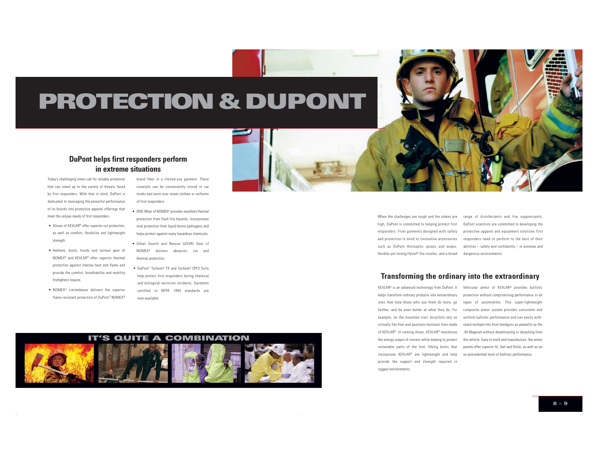# **PROTECTION&DUPONT**

#### **DuPont helps first responders perform in extreme situations**

Today's challenging times call for reliable protection that can stand up to the variety of threats faced by first responders. With that in mind, DuPont is dedicated to leveraging the powerful performance of its brands into protective apparel offerings that meet the unique needs of first responders.

- Gloves of KEVLAR® offer superior cut protection as well as comfort, flexibility and lightweight strength.
- Helmets, boots, hoods and turnout gear of NOMEX® and KEVLAR® offer superior thermal protection against intense heat and flame and provide the comfort, breathability and mobility firefighters require.
- NOMEX® Limitedwear delivers the superior flame-resistant protection of DuPont™ NOMEX®

brand fiber in a limited-use garment. These coveralls can be conveniently stored in car trunks and worn over street clothes or uniforms of first responders.

- EMS Wear of NOMEX® provides excellent thermal protection from flash fire hazards, incorporates viral protection from liquid-borne pathogens and helps protect against many hazardous chemicals.
- Urban Search and Rescue (USAR) Gear of NOMEX® delivers abrasion, cut and thermal protection.
- DuPont™ Tychem® TK and Tychem® CPF3 Suits help protect first responders during chemical and biological terrorism incidents. Garments certified to NFPA 1994 standards are now available.

high, DuPont is committed to helping protect first DuPont scientists are committed to developing the responders. From garments designed with safety protective apparel and equipment solutions first and protection in mind to innovative accessories responders need to perform to the best of their such as DuPont Antiseptic sprays and wipes, abilities – safely and confidently – in extreme and flexible-yet-strong Hytrel® fire nozzles, and a broad dangerous environments.

When the challenges are tough and the stakes are range of disinfectants and fire suppressants,

#### **Transforming the ordinary into the extraordinary**

farther, and be even better at what they do. For composite armor system provides consistent and example, on the mountain trail, bicyclists rely on uniform ballistic performance and can easily withvirtually flat-free and puncture-resistant tires made stand multiple hits from handguns as powerful as the of KEVLAR®. In running shoes, KEVLAR® maximizes .44 Magnum without delaminating or detaching from the energy output of runners while helping to protect the vehicle. Easy to mold and manufacture, the armor vulnerable parts of the foot. Hiking boots that panels offer superior fit, feel and finish, as well as an incorporate KEVLAR® are lightweight and help un-precedented level of ballistic performance. provide the support and strength required in rugged environments.

KEVLAR® is an advanced technology from DuPont. It Vehicular armor of KEVLAR® provides ballistic helps transform ordinary products into extraordinary protection without compromising performance in all ones that help those who use them do more, go types of automobiles. This super-lightweight

**IT'S QUITE A COMBINATION**

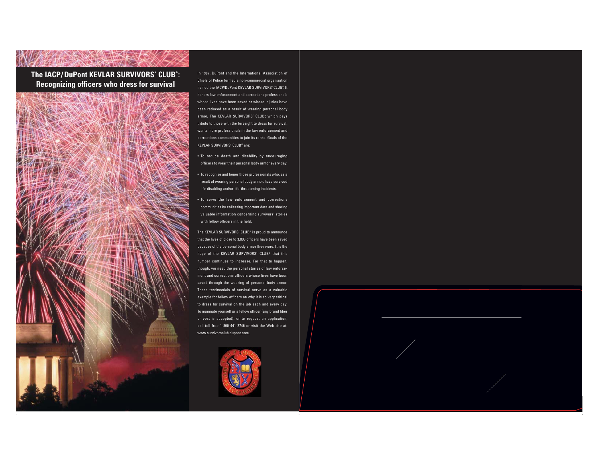**The IACP/DuPont KEVLAR SURVIVORS' CLUB®: Recognizing officers who dress for survival**



In 1987, DuPont and the International Association of Chiefs of Police formed a non-commercial organization named the IACP/DuPont KEVLAR SURVIVORS' CLUB® It honors law enforcement and corrections professionals whose lives have been saved or whose injuries have been reduced as a result of wearing personal body armor. The KEVLAR SURVIVORS' CLUB<sup>®</sup> which pays tribute to those with the foresight to dress for survival, wants more professionals in the law enforcement and corrections communities to join its ranks. Goals of the KEVLAR SURVIVORS' CLUB® are:

• To reduce death and disability by encouraging officers to wear their personal body armor every day.

- To recognize and honor those professionals who, as a result of wearing personal body armor, have survived life-disabling and/or life-threatening incidents.
- To serve the law enforcement and corrections communities by collecting important data and sharing valuable information concerning survivors' stories with fellow officers in the field.

The KEVLAR SURVIVORS' CLUB® is proud to announce that the lives of close to 3,000 officers have been saved because of the personal body armor they wore. It is the hope of the KEVLAR SURVIVORS' CLUB® that this number continues to increase. For that to happen, though, we need the personal stories of law enforcement and corrections officers whose lives have beensaved through the wearing of personal body armor. These testimonials of survival serve as a valuable example for fellow officers on why it is so very critical to dress for survival on the job each and every day. To nominate yourself or a fellow officer (any brand fiber or vest is accepted), or to request an application, call toll free 1-800-441-2746 or visit the Web site at: www.survivorsclub.dupont.com.